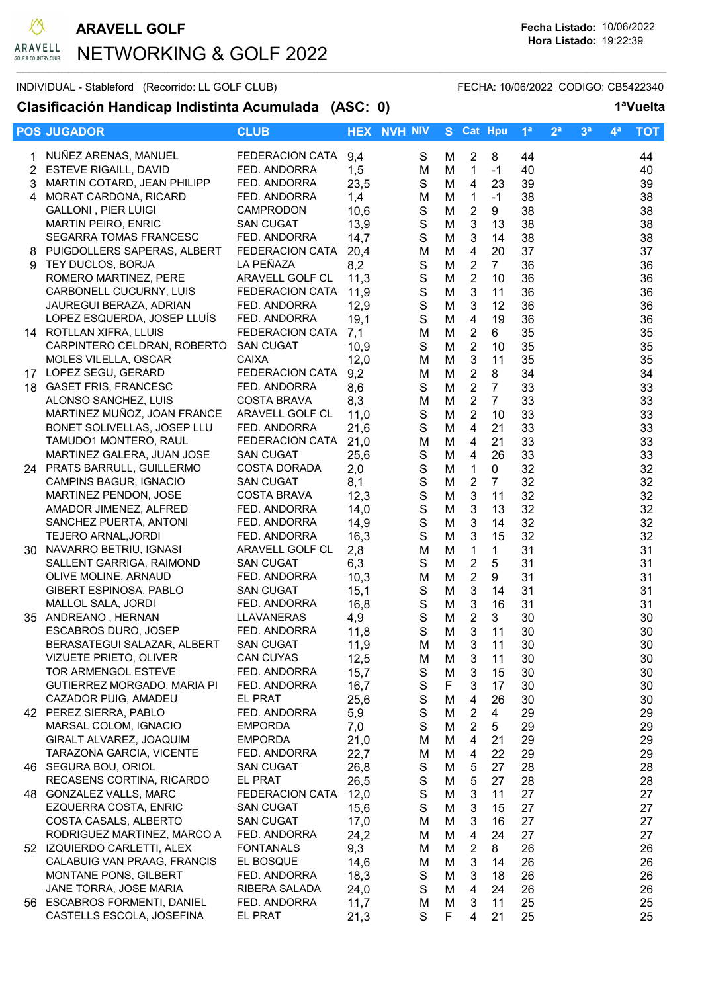

## NETWORKING & GOLF 2022  $\mathcal{L}_\mathcal{L} = \{ \mathcal{L}_\mathcal{L} = \{ \mathcal{L}_\mathcal{L} = \{ \mathcal{L}_\mathcal{L} = \{ \mathcal{L}_\mathcal{L} = \{ \mathcal{L}_\mathcal{L} = \{ \mathcal{L}_\mathcal{L} = \{ \mathcal{L}_\mathcal{L} = \{ \mathcal{L}_\mathcal{L} = \{ \mathcal{L}_\mathcal{L} = \{ \mathcal{L}_\mathcal{L} = \{ \mathcal{L}_\mathcal{L} = \{ \mathcal{L}_\mathcal{L} = \{ \mathcal{L}_\mathcal{L} = \{ \mathcal{L}_\mathcal{$

## INDIVIDUAL - Stableford (Recorrido: LL GOLF CLUB) FECHA: 10/06/2022 CODIGO: CB5422340

Clasificación Handicap Indistinta Acumulada (ASC: 0) 1<sup>a</sup>Vuelta

|   | <b>POS JUGADOR</b>                                     | <b>CLUB</b>                    |              | <b>HEX NVH NIV</b>         | S.     | <b>Cat Hpu</b>                 |                      | 1 <sup>a</sup> | 2 <sup>a</sup> | 3 <sup>a</sup> | $\mathbf{4}^{\mathsf{a}}$ | <b>TOT</b> |
|---|--------------------------------------------------------|--------------------------------|--------------|----------------------------|--------|--------------------------------|----------------------|----------------|----------------|----------------|---------------------------|------------|
|   | NUÑEZ ARENAS, MANUEL                                   | <b>FEDERACION CATA</b>         | 9,4          | $\mathbf S$                | M      | $\overline{2}$                 | 8                    | 44             |                |                |                           | 44         |
|   | 2 ESTEVE RIGAILL, DAVID                                | FED. ANDORRA                   | 1,5          | M                          | M      | $\mathbf 1$                    | $-1$                 | 40             |                |                |                           | 40         |
| 3 | MARTIN COTARD, JEAN PHILIPP                            | FED. ANDORRA                   | 23,5         | $\mathbf S$                | M      | $\overline{4}$                 | 23                   | 39             |                |                |                           | 39         |
|   | 4 MORAT CARDONA, RICARD                                | FED. ANDORRA                   | 1,4          | М                          | M      | $\mathbf{1}$                   | $-1$                 | 38             |                |                |                           | 38         |
|   | <b>GALLONI, PIER LUIGI</b>                             | <b>CAMPRODON</b>               | 10,6         | $\mathbf S$                | M      | $\sqrt{2}$                     | 9                    | 38             |                |                |                           | 38         |
|   | MARTIN PEIRO, ENRIC                                    | <b>SAN CUGAT</b>               | 13,9         | $\mathbf S$                | M      | $\mathbf{3}$                   | 13                   | 38             |                |                |                           | 38         |
|   | SEGARRA TOMAS FRANCESC                                 | FED. ANDORRA                   | 14,7         | $\mathsf S$                | M      | $\mathbf{3}$                   | 14                   | 38             |                |                |                           | 38         |
|   | 8 PUIGDOLLERS SAPERAS, ALBERT                          | <b>FEDERACION CATA</b>         | 20,4         | M                          | M      | $\overline{4}$                 | 20                   | 37             |                |                |                           | 37         |
|   | 9 TEY DUCLOS, BORJA                                    | LA PEÑAZA                      | 8,2          | $\mathbf S$                | M      | $\overline{2}$                 | $\overline{7}$       | 36             |                |                |                           | 36         |
|   | ROMERO MARTINEZ, PERE                                  | ARAVELL GOLF CL                | 11,3         | $\mathsf S$                | M      | $\overline{2}$                 | 10                   | 36             |                |                |                           | 36         |
|   | CARBONELL CUCURNY, LUIS                                | <b>FEDERACION CATA</b>         | 11,9         | $\mathbf S$                | M      | 3                              | 11                   | 36             |                |                |                           | 36         |
|   | JAUREGUI BERAZA, ADRIAN<br>LOPEZ ESQUERDA, JOSEP LLUÍS | FED. ANDORRA<br>FED. ANDORRA   | 12,9         | $\mathbf S$<br>$\mathbf S$ | M<br>M | $\mathbf{3}$<br>$\overline{4}$ | 12<br>19             | 36<br>36       |                |                |                           | 36         |
|   | 14 ROTLLAN XIFRA, LLUIS                                | <b>FEDERACION CATA</b>         | 19,1<br>7,1  | M                          | M      | $\overline{2}$                 | 6                    | 35             |                |                |                           | 36<br>35   |
|   | CARPINTERO CELDRAN, ROBERTO                            | <b>SAN CUGAT</b>               | 10,9         | $\mathbf S$                | M      | $\boldsymbol{2}$               | 10                   | 35             |                |                |                           | 35         |
|   | <b>MOLES VILELLA, OSCAR</b>                            | <b>CAIXA</b>                   | 12,0         | M                          | M      | $\mathbf{3}$                   | 11                   | 35             |                |                |                           | 35         |
|   | 17 LOPEZ SEGU, GERARD                                  | <b>FEDERACION CATA</b>         | 9,2          | M                          | M      | $\boldsymbol{2}$               | 8                    | 34             |                |                |                           | 34         |
|   | 18 GASET FRIS, FRANCESC                                | FED. ANDORRA                   | 8,6          | $\mathbf S$                | M      | $\overline{2}$                 | $\overline{7}$       | 33             |                |                |                           | 33         |
|   | ALONSO SANCHEZ, LUIS                                   | <b>COSTA BRAVA</b>             | 8,3          | M                          | M      | $\sqrt{2}$                     | $\overline{7}$       | 33             |                |                |                           | 33         |
|   | MARTINEZ MUÑOZ, JOAN FRANCE                            | ARAVELL GOLF CL                | 11,0         | $\mathsf S$                | M      | $\overline{2}$                 | 10                   | 33             |                |                |                           | 33         |
|   | BONET SOLIVELLAS, JOSEP LLU                            | FED. ANDORRA                   | 21,6         | $\mathbf S$                | M      | $\overline{4}$                 | 21                   | 33             |                |                |                           | 33         |
|   | TAMUDO1 MONTERO, RAUL                                  | <b>FEDERACION CATA</b>         | 21,0         | M                          | M      | 4                              | 21                   | 33             |                |                |                           | 33         |
|   | MARTINEZ GALERA, JUAN JOSE                             | <b>SAN CUGAT</b>               | 25,6         | $\mathbf S$                | M      | $\overline{4}$                 | 26                   | 33             |                |                |                           | 33         |
|   | 24 PRATS BARRULL, GUILLERMO                            | <b>COSTA DORADA</b>            | 2,0          | $\mathsf{S}$               | M      | $\mathbf{1}$                   | 0                    | 32             |                |                |                           | 32         |
|   | CAMPINS BAGUR, IGNACIO                                 | <b>SAN CUGAT</b>               | 8,1          | $\mathsf{S}$               | M      | $\overline{2}$                 | $\overline{7}$       | 32             |                |                |                           | 32         |
|   | MARTINEZ PENDON, JOSE                                  | <b>COSTA BRAVA</b>             | 12,3         | S                          | M      | $\mathbf{3}$                   | 11                   | 32             |                |                |                           | 32         |
|   | AMADOR JIMENEZ, ALFRED                                 | FED. ANDORRA                   | 14,0         | $\mathbf S$<br>$\mathbf S$ | M      | $\mathbf{3}$                   | 13                   | 32             |                |                |                           | 32         |
|   | SANCHEZ PUERTA, ANTONI<br><b>TEJERO ARNAL, JORDI</b>   | FED. ANDORRA<br>FED. ANDORRA   | 14,9<br>16,3 | $\mathsf S$                | M<br>M | $\mathbf{3}$<br>$\mathbf{3}$   | 14<br>15             | 32<br>32       |                |                |                           | 32<br>32   |
|   | 30 NAVARRO BETRIU, IGNASI                              | ARAVELL GOLF CL                | 2,8          | M                          | M      | $\mathbf{1}$                   | 1                    | 31             |                |                |                           | 31         |
|   | SALLENT GARRIGA, RAIMOND                               | <b>SAN CUGAT</b>               | 6,3          | $\mathsf S$                | M      | $\sqrt{2}$                     | 5                    | 31             |                |                |                           | 31         |
|   | OLIVE MOLINE, ARNAUD                                   | FED. ANDORRA                   | 10,3         | M                          | M      | $\sqrt{2}$                     | 9                    | 31             |                |                |                           | 31         |
|   | GIBERT ESPINOSA, PABLO                                 | <b>SAN CUGAT</b>               | 15,1         | $\mathbf S$                | M      | $\mathbf{3}$                   | 14                   | 31             |                |                |                           | 31         |
|   | MALLOL SALA, JORDI                                     | FED. ANDORRA                   | 16,8         | S                          | M      | $\mathbf{3}$                   | 16                   | 31             |                |                |                           | 31         |
|   | 35 ANDREANO, HERNAN                                    | <b>LLAVANERAS</b>              | 4,9          | $\mathsf S$                | M      | $\overline{2}$                 | 3                    | 30             |                |                |                           | 30         |
|   | <b>ESCABROS DURO, JOSEP</b>                            | FED. ANDORRA                   | 11,8         | S                          | M      | 3                              | 11                   | 30             |                |                |                           | 30         |
|   | BERASATEGUI SALAZAR, ALBERT                            | <b>SAN CUGAT</b>               | 11,9         | M                          | M      | 3                              | 11                   | 30             |                |                |                           | 30         |
|   | VIZUETE PRIETO, OLIVER                                 | <b>CAN CUYAS</b>               | 12,5         | м                          | M      | 3                              | 11                   | 30             |                |                |                           | 30         |
|   | TOR ARMENGOL ESTEVE                                    | FED. ANDORRA                   | 15,7         | S                          | M      | 3                              | 15                   | 30             |                |                |                           | 30         |
|   | GUTIERREZ MORGADO, MARIA PI                            | FED. ANDORRA                   | 16,7         | S                          | F      | 3                              | 17                   | 30             |                |                |                           | 30         |
|   | CAZADOR PUIG, AMADEU<br>42 PEREZ SIERRA, PABLO         | EL PRAT                        | 25,6         | $\mathbf S$<br>$\mathsf S$ | M      | $\overline{4}$                 | 26<br>$\overline{4}$ | 30             |                |                |                           | 30         |
|   | MARSAL COLOM, IGNACIO                                  | FED. ANDORRA<br><b>EMPORDA</b> | 5,9<br>7,0   | ${\mathsf S}$              | M<br>M | $\overline{2}$<br>$\sqrt{2}$   | 5                    | 29<br>29       |                |                |                           | 29<br>29   |
|   | GIRALT ALVAREZ, JOAQUIM                                | <b>EMPORDA</b>                 | 21,0         | M                          | M      | $\overline{\mathbf{4}}$        | 21                   | 29             |                |                |                           | 29         |
|   | TARAZONA GARCIA, VICENTE                               | FED. ANDORRA                   | 22,7         | M                          | M      | $\overline{\mathbf{4}}$        | 22                   | 29             |                |                |                           | 29         |
|   | 46 SEGURA BOU, ORIOL                                   | <b>SAN CUGAT</b>               | 26,8         | $\mathbf S$                | M      | 5                              | 27                   | 28             |                |                |                           | 28         |
|   | RECASENS CORTINA, RICARDO                              | EL PRAT                        | 26,5         | $\mathbf S$                | M      | 5                              | 27                   | 28             |                |                |                           | 28         |
|   | 48 GONZALEZ VALLS, MARC                                | <b>FEDERACION CATA</b>         | 12,0         | $\mathbf S$                | M      | 3                              | 11                   | 27             |                |                |                           | 27         |
|   | EZQUERRA COSTA, ENRIC                                  | <b>SAN CUGAT</b>               | 15,6         | $\mathbf S$                | M      | 3                              | 15                   | 27             |                |                |                           | 27         |
|   | COSTA CASALS, ALBERTO                                  | <b>SAN CUGAT</b>               | 17,0         | M                          | M      | 3                              | 16                   | 27             |                |                |                           | 27         |
|   | RODRIGUEZ MARTINEZ, MARCO A                            | FED. ANDORRA                   | 24,2         | M                          | M      | 4                              | 24                   | 27             |                |                |                           | 27         |
|   | 52 IZQUIERDO CARLETTI, ALEX                            | <b>FONTANALS</b>               | 9,3          | M                          | M      | $\overline{2}$                 | 8                    | 26             |                |                |                           | 26         |
|   | CALABUIG VAN PRAAG, FRANCIS                            | EL BOSQUE                      | 14,6         | м                          | M      | $\mathbf{3}$                   | 14                   | 26             |                |                |                           | 26         |
|   | MONTANE PONS, GILBERT                                  | FED. ANDORRA                   | 18,3         | S                          | M      | 3                              | 18                   | 26             |                |                |                           | 26         |
|   | JANE TORRA, JOSE MARIA<br>56 ESCABROS FORMENTI, DANIEL | RIBERA SALADA                  | 24,0         | S                          | M      | $\overline{4}$                 | 24                   | 26             |                |                |                           | 26         |
|   | CASTELLS ESCOLA, JOSEFINA                              | FED. ANDORRA<br>EL PRAT        | 11,7<br>21,3 | M<br>S                     | M<br>F | 3<br>4                         | 11<br>21             | 25<br>25       |                |                |                           | 25<br>25   |
|   |                                                        |                                |              |                            |        |                                |                      |                |                |                |                           |            |